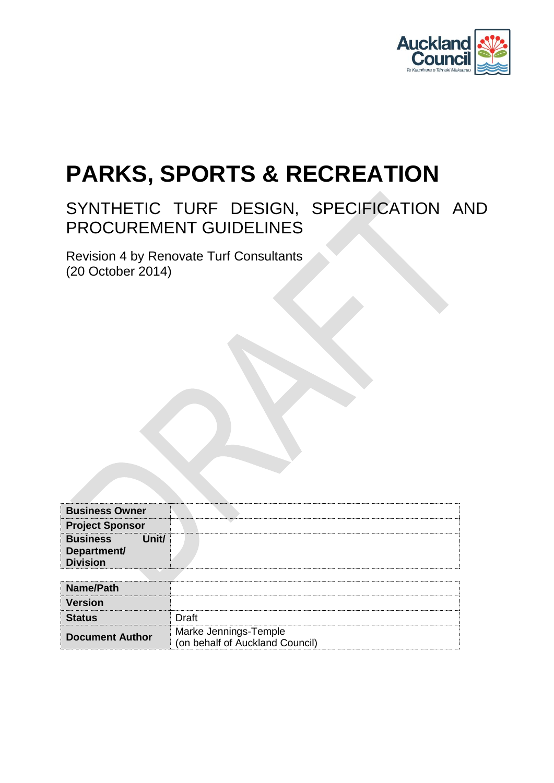

# **PARKS, SPORTS & RECREATION**

## SYNTHETIC TURF DESIGN, SPECIFICATION AND PROCUREMENT GUIDELINES

Revision 4 by Renovate Turf Consultants (20 October 2014)

| <b>Business Owner</b>                                      |                                                          |
|------------------------------------------------------------|----------------------------------------------------------|
| <b>Project Sponsor</b>                                     |                                                          |
| Unit/<br><b>Business</b><br>Department/<br><b>Division</b> |                                                          |
|                                                            |                                                          |
| Name/Path                                                  |                                                          |
| <b>Version</b>                                             |                                                          |
| <b>Status</b>                                              | Draft                                                    |
| <b>Document Author</b>                                     | Marke Jennings-Temple<br>(on behalf of Auckland Council) |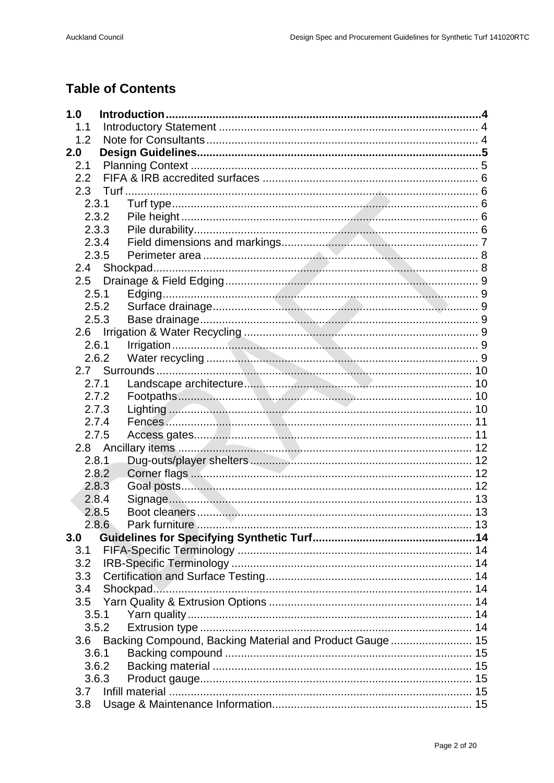## **Table of Contents**

| 1.0   |                                                         |  |
|-------|---------------------------------------------------------|--|
| 1.1   |                                                         |  |
| 1.2   |                                                         |  |
| 2.0   |                                                         |  |
| 2.1   |                                                         |  |
| 2.2   |                                                         |  |
|       |                                                         |  |
| 2.3.1 |                                                         |  |
| 2.3.2 |                                                         |  |
| 2.3.3 |                                                         |  |
| 2.3.4 |                                                         |  |
| 2.3.5 |                                                         |  |
| 2.4   |                                                         |  |
| 2.5   |                                                         |  |
| 2.5.1 |                                                         |  |
| 2.5.2 |                                                         |  |
| 2.5.3 |                                                         |  |
| 2.6   |                                                         |  |
| 2.6.1 |                                                         |  |
| 2.6.2 |                                                         |  |
|       |                                                         |  |
| 2.7.1 |                                                         |  |
| 2.7.2 |                                                         |  |
| 2.7.3 |                                                         |  |
| 2.7.4 |                                                         |  |
| 2.7.5 |                                                         |  |
|       |                                                         |  |
| 2.8.1 |                                                         |  |
| 2.8.2 |                                                         |  |
| 2.8.3 |                                                         |  |
| 2.8.4 |                                                         |  |
| 2.8.5 |                                                         |  |
| 2.8.6 |                                                         |  |
| 3.0   |                                                         |  |
| 3.1   |                                                         |  |
| 3.2   |                                                         |  |
| 3.3   |                                                         |  |
| 3.4   | Shockpad                                                |  |
| 3.5   |                                                         |  |
| 3.5.1 |                                                         |  |
| 3.5.2 |                                                         |  |
| 3.6   | Backing Compound, Backing Material and Product Gauge 15 |  |
| 3.6.1 |                                                         |  |
| 3.6.2 |                                                         |  |
| 3.6.3 |                                                         |  |
| 3.7   |                                                         |  |
| 3.8   |                                                         |  |
|       |                                                         |  |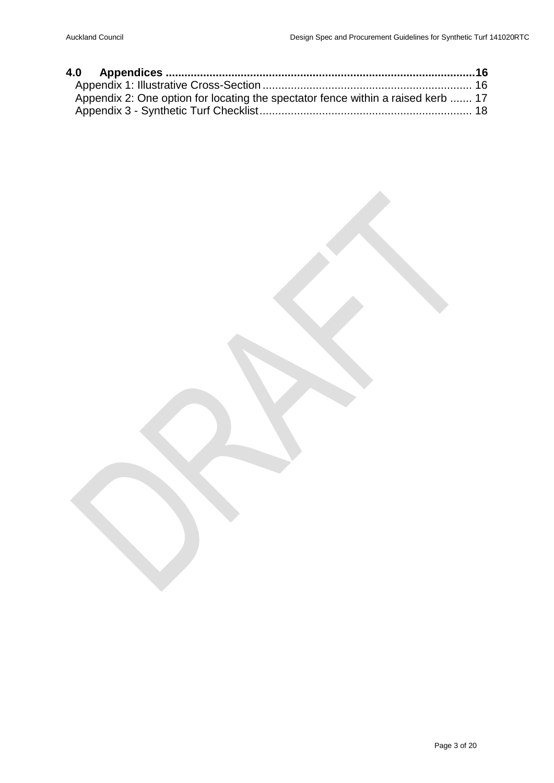| Appendix 2: One option for locating the spectator fence within a raised kerb  17 |  |
|----------------------------------------------------------------------------------|--|
|                                                                                  |  |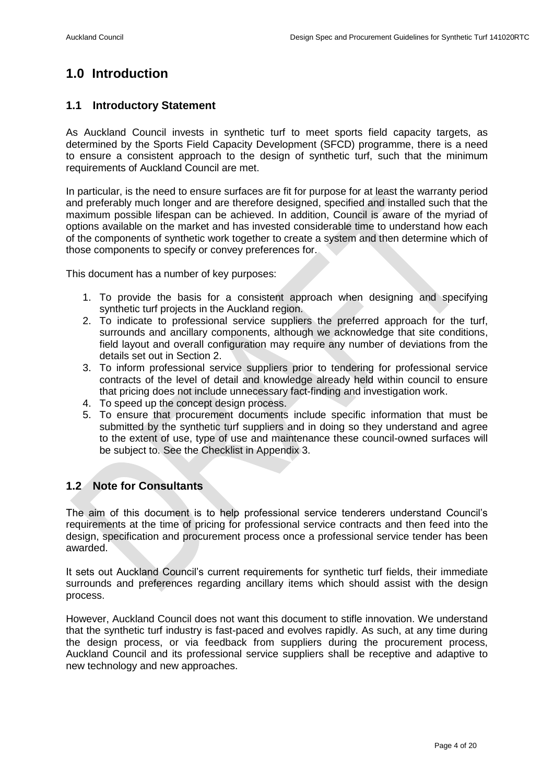## <span id="page-3-0"></span>**1.0 Introduction**

#### <span id="page-3-1"></span>**1.1 Introductory Statement**

As Auckland Council invests in synthetic turf to meet sports field capacity targets, as determined by the Sports Field Capacity Development (SFCD) programme, there is a need to ensure a consistent approach to the design of synthetic turf, such that the minimum requirements of Auckland Council are met.

In particular, is the need to ensure surfaces are fit for purpose for at least the warranty period and preferably much longer and are therefore designed, specified and installed such that the maximum possible lifespan can be achieved. In addition, Council is aware of the myriad of options available on the market and has invested considerable time to understand how each of the components of synthetic work together to create a system and then determine which of those components to specify or convey preferences for.

This document has a number of key purposes:

- 1. To provide the basis for a consistent approach when designing and specifying synthetic turf projects in the Auckland region.
- 2. To indicate to professional service suppliers the preferred approach for the turf, surrounds and ancillary components, although we acknowledge that site conditions, field layout and overall configuration may require any number of deviations from the details set out in Section 2.
- 3. To inform professional service suppliers prior to tendering for professional service contracts of the level of detail and knowledge already held within council to ensure that pricing does not include unnecessary fact-finding and investigation work.
- 4. To speed up the concept design process.
- 5. To ensure that procurement documents include specific information that must be submitted by the synthetic turf suppliers and in doing so they understand and agree to the extent of use, type of use and maintenance these council-owned surfaces will be subject to. See the Checklist in Appendix 3.

#### <span id="page-3-2"></span>**1.2 Note for Consultants**

The aim of this document is to help professional service tenderers understand Council's requirements at the time of pricing for professional service contracts and then feed into the design, specification and procurement process once a professional service tender has been awarded.

It sets out Auckland Council's current requirements for synthetic turf fields, their immediate surrounds and preferences regarding ancillary items which should assist with the design process.

However, Auckland Council does not want this document to stifle innovation. We understand that the synthetic turf industry is fast-paced and evolves rapidly. As such, at any time during the design process, or via feedback from suppliers during the procurement process, Auckland Council and its professional service suppliers shall be receptive and adaptive to new technology and new approaches.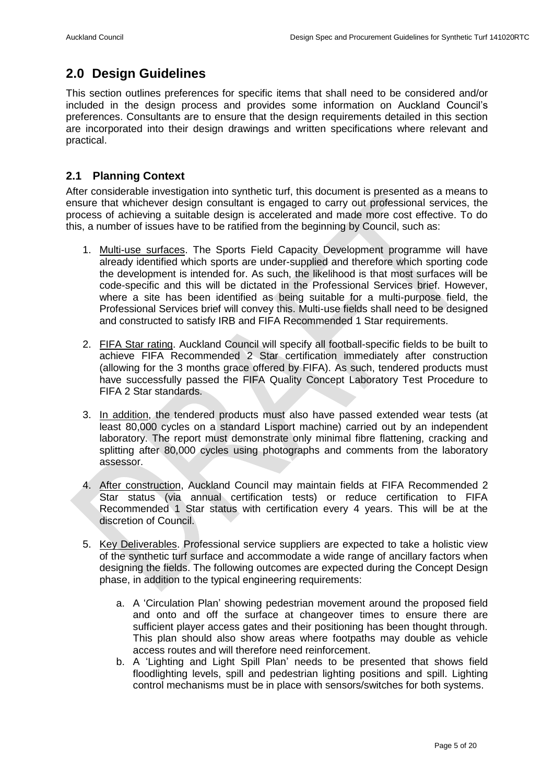## <span id="page-4-0"></span>**2.0 Design Guidelines**

This section outlines preferences for specific items that shall need to be considered and/or included in the design process and provides some information on Auckland Council's preferences. Consultants are to ensure that the design requirements detailed in this section are incorporated into their design drawings and written specifications where relevant and practical.

#### <span id="page-4-1"></span>**2.1 Planning Context**

After considerable investigation into synthetic turf, this document is presented as a means to ensure that whichever design consultant is engaged to carry out professional services, the process of achieving a suitable design is accelerated and made more cost effective. To do this, a number of issues have to be ratified from the beginning by Council, such as:

- 1. Multi-use surfaces. The Sports Field Capacity Development programme will have already identified which sports are under-supplied and therefore which sporting code the development is intended for. As such, the likelihood is that most surfaces will be code-specific and this will be dictated in the Professional Services brief. However, where a site has been identified as being suitable for a multi-purpose field, the Professional Services brief will convey this. Multi-use fields shall need to be designed and constructed to satisfy IRB and FIFA Recommended 1 Star requirements.
- 2. FIFA Star rating. Auckland Council will specify all football-specific fields to be built to achieve FIFA Recommended 2 Star certification immediately after construction (allowing for the 3 months grace offered by FIFA). As such, tendered products must have successfully passed the FIFA Quality Concept Laboratory Test Procedure to FIFA 2 Star standards.
- 3. In addition, the tendered products must also have passed extended wear tests (at least 80,000 cycles on a standard Lisport machine) carried out by an independent laboratory. The report must demonstrate only minimal fibre flattening, cracking and splitting after 80,000 cycles using photographs and comments from the laboratory assessor.
- 4. After construction, Auckland Council may maintain fields at FIFA Recommended 2 Star status (via annual certification tests) or reduce certification to FIFA Recommended 1 Star status with certification every 4 years. This will be at the discretion of Council.
- 5. Key Deliverables. Professional service suppliers are expected to take a holistic view of the synthetic turf surface and accommodate a wide range of ancillary factors when designing the fields. The following outcomes are expected during the Concept Design phase, in addition to the typical engineering requirements:
	- a. A 'Circulation Plan' showing pedestrian movement around the proposed field and onto and off the surface at changeover times to ensure there are sufficient player access gates and their positioning has been thought through. This plan should also show areas where footpaths may double as vehicle access routes and will therefore need reinforcement.
	- b. A 'Lighting and Light Spill Plan' needs to be presented that shows field floodlighting levels, spill and pedestrian lighting positions and spill. Lighting control mechanisms must be in place with sensors/switches for both systems.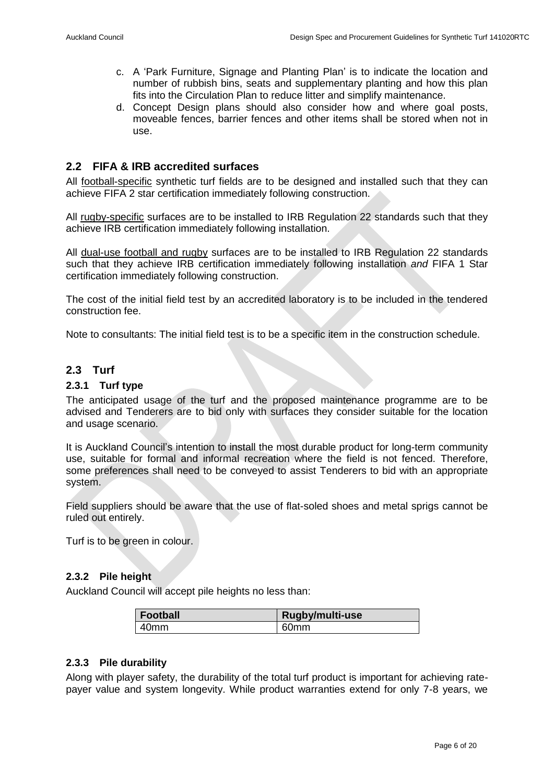- c. A 'Park Furniture, Signage and Planting Plan' is to indicate the location and number of rubbish bins, seats and supplementary planting and how this plan fits into the Circulation Plan to reduce litter and simplify maintenance.
- d. Concept Design plans should also consider how and where goal posts, moveable fences, barrier fences and other items shall be stored when not in use.

#### <span id="page-5-0"></span>**2.2 FIFA & IRB accredited surfaces**

All football-specific synthetic turf fields are to be designed and installed such that they can achieve FIFA 2 star certification immediately following construction.

All rugby-specific surfaces are to be installed to IRB Regulation 22 standards such that they achieve IRB certification immediately following installation.

All dual-use football and rugby surfaces are to be installed to IRB Regulation 22 standards such that they achieve IRB certification immediately following installation *and* FIFA 1 Star certification immediately following construction.

The cost of the initial field test by an accredited laboratory is to be included in the tendered construction fee.

Note to consultants: The initial field test is to be a specific item in the construction schedule.

#### <span id="page-5-1"></span>**2.3 Turf**

#### <span id="page-5-2"></span>**2.3.1 Turf type**

The anticipated usage of the turf and the proposed maintenance programme are to be advised and Tenderers are to bid only with surfaces they consider suitable for the location and usage scenario.

It is Auckland Council's intention to install the most durable product for long-term community use, suitable for formal and informal recreation where the field is not fenced. Therefore, some preferences shall need to be conveyed to assist Tenderers to bid with an appropriate system.

Field suppliers should be aware that the use of flat-soled shoes and metal sprigs cannot be ruled out entirely.

Turf is to be green in colour.

#### <span id="page-5-3"></span>**2.3.2 Pile height**

Auckland Council will accept pile heights no less than:

| <b>Football</b>  | Rugby/multi-use  |
|------------------|------------------|
| 40 <sub>mm</sub> | 60 <sub>mm</sub> |

#### <span id="page-5-4"></span>**2.3.3 Pile durability**

Along with player safety, the durability of the total turf product is important for achieving ratepayer value and system longevity. While product warranties extend for only 7-8 years, we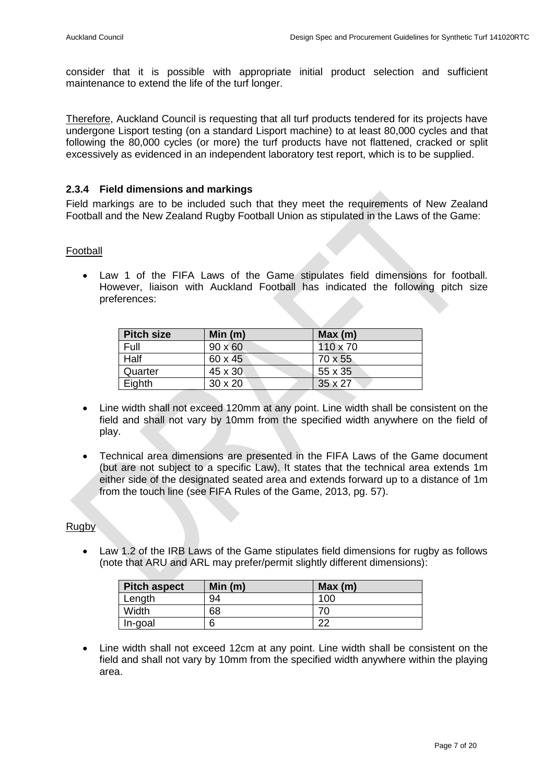consider that it is possible with appropriate initial product selection and sufficient maintenance to extend the life of the turf longer.

Therefore, Auckland Council is requesting that all turf products tendered for its projects have undergone Lisport testing (on a standard Lisport machine) to at least 80,000 cycles and that following the 80,000 cycles (or more) the turf products have not flattened, cracked or split excessively as evidenced in an independent laboratory test report, which is to be supplied.

#### <span id="page-6-0"></span>**2.3.4 Field dimensions and markings**

Field markings are to be included such that they meet the requirements of New Zealand Football and the New Zealand Rugby Football Union as stipulated in the Laws of the Game:

#### Football

 Law 1 of the FIFA Laws of the Game stipulates field dimensions for football. However, liaison with Auckland Football has indicated the following pitch size preferences:

| <b>Pitch size</b> | Min $(m)$      | Max(m)          |
|-------------------|----------------|-----------------|
| Full              | $90 \times 60$ | $110 \times 70$ |
| Half              | 60 x 45        | 70 x 55         |
| Quarter           | 45 x 30        | 55 x 35         |
| Eighth            | $30 \times 20$ | $35 \times 27$  |

- Line width shall not exceed 120mm at any point. Line width shall be consistent on the field and shall not vary by 10mm from the specified width anywhere on the field of play.
- Technical area dimensions are presented in the FIFA Laws of the Game document (but are not subject to a specific Law). It states that the technical area extends 1m either side of the designated seated area and extends forward up to a distance of 1m from the touch line (see FIFA Rules of the Game, 2013, pg. 57).

#### **Rugby**

 Law 1.2 of the IRB Laws of the Game stipulates field dimensions for rugby as follows (note that ARU and ARL may prefer/permit slightly different dimensions):

| <b>Pitch aspect</b> | Min(m) | Max(m) |
|---------------------|--------|--------|
| Length              | 94     | 100    |
| Width               | 68     |        |
| In-goal             | 6      | ົ      |

 Line width shall not exceed 12cm at any point. Line width shall be consistent on the field and shall not vary by 10mm from the specified width anywhere within the playing area.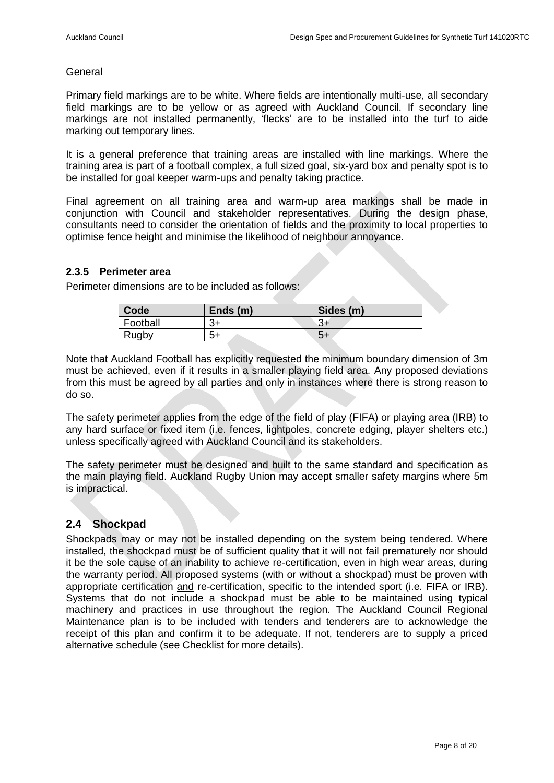#### **General**

Primary field markings are to be white. Where fields are intentionally multi-use, all secondary field markings are to be yellow or as agreed with Auckland Council. If secondary line markings are not installed permanently, 'flecks' are to be installed into the turf to aide marking out temporary lines.

It is a general preference that training areas are installed with line markings. Where the training area is part of a football complex, a full sized goal, six-yard box and penalty spot is to be installed for goal keeper warm-ups and penalty taking practice.

Final agreement on all training area and warm-up area markings shall be made in conjunction with Council and stakeholder representatives. During the design phase, consultants need to consider the orientation of fields and the proximity to local properties to optimise fence height and minimise the likelihood of neighbour annoyance.

#### <span id="page-7-0"></span>**2.3.5 Perimeter area**

Perimeter dimensions are to be included as follows:

| Code     | Ends $(m)$ | Sides (m) |
|----------|------------|-----------|
| Football | ⌒          | τכ        |
| Rugby    | 5+         | ა+        |

Note that Auckland Football has explicitly requested the minimum boundary dimension of 3m must be achieved, even if it results in a smaller playing field area. Any proposed deviations from this must be agreed by all parties and only in instances where there is strong reason to do so.

The safety perimeter applies from the edge of the field of play (FIFA) or playing area (IRB) to any hard surface or fixed item (i.e. fences, lightpoles, concrete edging, player shelters etc.) unless specifically agreed with Auckland Council and its stakeholders.

The safety perimeter must be designed and built to the same standard and specification as the main playing field. Auckland Rugby Union may accept smaller safety margins where 5m is impractical.

#### <span id="page-7-1"></span>**2.4 Shockpad**

Shockpads may or may not be installed depending on the system being tendered. Where installed, the shockpad must be of sufficient quality that it will not fail prematurely nor should it be the sole cause of an inability to achieve re-certification, even in high wear areas, during the warranty period. All proposed systems (with or without a shockpad) must be proven with appropriate certification and re-certification, specific to the intended sport (i.e. FIFA or IRB). Systems that do not include a shockpad must be able to be maintained using typical machinery and practices in use throughout the region. The Auckland Council Regional Maintenance plan is to be included with tenders and tenderers are to acknowledge the receipt of this plan and confirm it to be adequate. If not, tenderers are to supply a priced alternative schedule (see Checklist for more details).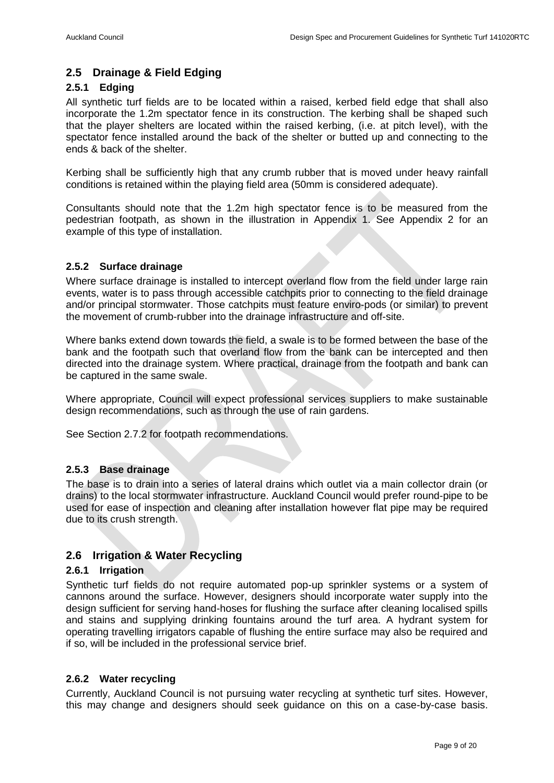#### <span id="page-8-0"></span>**2.5 Drainage & Field Edging**

#### <span id="page-8-1"></span>**2.5.1 Edging**

All synthetic turf fields are to be located within a raised, kerbed field edge that shall also incorporate the 1.2m spectator fence in its construction. The kerbing shall be shaped such that the player shelters are located within the raised kerbing, (i.e. at pitch level), with the spectator fence installed around the back of the shelter or butted up and connecting to the ends & back of the shelter.

Kerbing shall be sufficiently high that any crumb rubber that is moved under heavy rainfall conditions is retained within the playing field area (50mm is considered adequate).

Consultants should note that the 1.2m high spectator fence is to be measured from the pedestrian footpath, as shown in the illustration in Appendix 1. See Appendix 2 for an example of this type of installation.

#### <span id="page-8-2"></span>**2.5.2 Surface drainage**

Where surface drainage is installed to intercept overland flow from the field under large rain events, water is to pass through accessible catchpits prior to connecting to the field drainage and/or principal stormwater. Those catchpits must feature enviro-pods (or similar) to prevent the movement of crumb-rubber into the drainage infrastructure and off-site.

Where banks extend down towards the field, a swale is to be formed between the base of the bank and the footpath such that overland flow from the bank can be intercepted and then directed into the drainage system. Where practical, drainage from the footpath and bank can be captured in the same swale.

Where appropriate, Council will expect professional services suppliers to make sustainable design recommendations, such as through the use of rain gardens.

See Section 2.7.2 for footpath recommendations.

#### <span id="page-8-3"></span>**2.5.3 Base drainage**

The base is to drain into a series of lateral drains which outlet via a main collector drain (or drains) to the local stormwater infrastructure. Auckland Council would prefer round-pipe to be used for ease of inspection and cleaning after installation however flat pipe may be required due to its crush strength.

#### <span id="page-8-4"></span>**2.6 Irrigation & Water Recycling**

#### <span id="page-8-5"></span>**2.6.1 Irrigation**

Synthetic turf fields do not require automated pop-up sprinkler systems or a system of cannons around the surface. However, designers should incorporate water supply into the design sufficient for serving hand-hoses for flushing the surface after cleaning localised spills and stains and supplying drinking fountains around the turf area. A hydrant system for operating travelling irrigators capable of flushing the entire surface may also be required and if so, will be included in the professional service brief.

#### <span id="page-8-6"></span>**2.6.2 Water recycling**

Currently, Auckland Council is not pursuing water recycling at synthetic turf sites. However, this may change and designers should seek guidance on this on a case-by-case basis.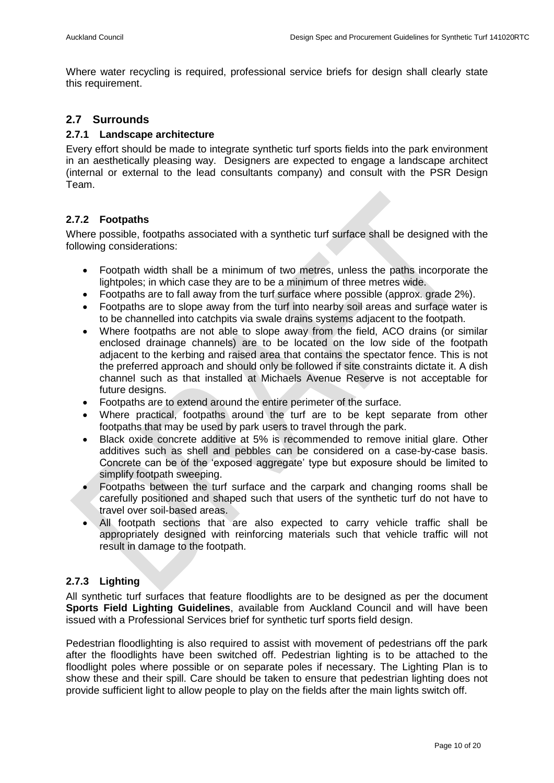Where water recycling is required, professional service briefs for design shall clearly state this requirement.

#### <span id="page-9-0"></span>**2.7 Surrounds**

#### <span id="page-9-1"></span>**2.7.1 Landscape architecture**

Every effort should be made to integrate synthetic turf sports fields into the park environment in an aesthetically pleasing way. Designers are expected to engage a landscape architect (internal or external to the lead consultants company) and consult with the PSR Design Team.

#### <span id="page-9-2"></span>**2.7.2 Footpaths**

Where possible, footpaths associated with a synthetic turf surface shall be designed with the following considerations:

- Footpath width shall be a minimum of two metres, unless the paths incorporate the lightpoles; in which case they are to be a minimum of three metres wide.
- Footpaths are to fall away from the turf surface where possible (approx, grade 2%).
- Footpaths are to slope away from the turf into nearby soil areas and surface water is to be channelled into catchpits via swale drains systems adjacent to the footpath.
- Where footpaths are not able to slope away from the field, ACO drains (or similar enclosed drainage channels) are to be located on the low side of the footpath adjacent to the kerbing and raised area that contains the spectator fence. This is not the preferred approach and should only be followed if site constraints dictate it. A dish channel such as that installed at Michaels Avenue Reserve is not acceptable for future designs.
- Footpaths are to extend around the entire perimeter of the surface.
- Where practical, footpaths around the turf are to be kept separate from other footpaths that may be used by park users to travel through the park.
- Black oxide concrete additive at 5% is recommended to remove initial glare. Other additives such as shell and pebbles can be considered on a case-by-case basis. Concrete can be of the 'exposed aggregate' type but exposure should be limited to simplify footpath sweeping.
- Footpaths between the turf surface and the carpark and changing rooms shall be carefully positioned and shaped such that users of the synthetic turf do not have to travel over soil-based areas.
- All footpath sections that are also expected to carry vehicle traffic shall be appropriately designed with reinforcing materials such that vehicle traffic will not result in damage to the footpath.

#### <span id="page-9-3"></span>**2.7.3 Lighting**

All synthetic turf surfaces that feature floodlights are to be designed as per the document **Sports Field Lighting Guidelines**, available from Auckland Council and will have been issued with a Professional Services brief for synthetic turf sports field design.

Pedestrian floodlighting is also required to assist with movement of pedestrians off the park after the floodlights have been switched off. Pedestrian lighting is to be attached to the floodlight poles where possible or on separate poles if necessary. The Lighting Plan is to show these and their spill. Care should be taken to ensure that pedestrian lighting does not provide sufficient light to allow people to play on the fields after the main lights switch off.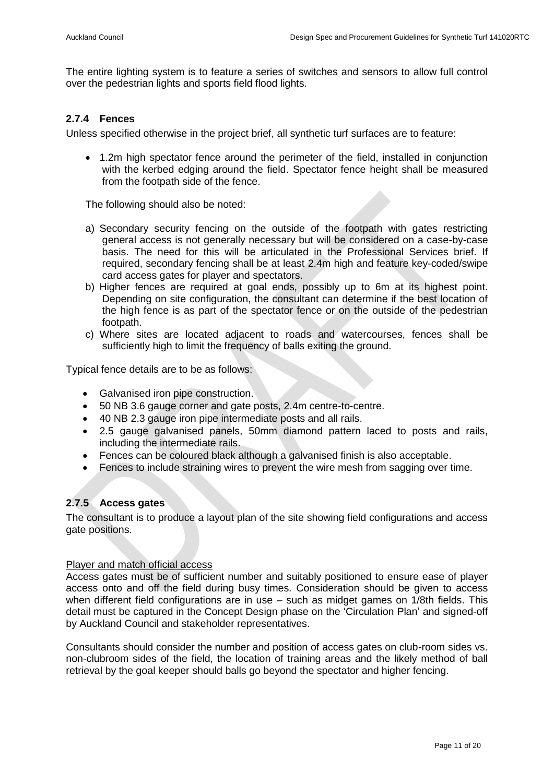The entire lighting system is to feature a series of switches and sensors to allow full control over the pedestrian lights and sports field flood lights.

#### <span id="page-10-0"></span>**2.7.4 Fences**

Unless specified otherwise in the project brief, all synthetic turf surfaces are to feature:

 1.2m high spectator fence around the perimeter of the field, installed in conjunction with the kerbed edging around the field. Spectator fence height shall be measured from the footpath side of the fence.

The following should also be noted:

- a) Secondary security fencing on the outside of the footpath with gates restricting general access is not generally necessary but will be considered on a case-by-case basis. The need for this will be articulated in the Professional Services brief. If required, secondary fencing shall be at least 2.4m high and feature key-coded/swipe card access gates for player and spectators.
- b) Higher fences are required at goal ends, possibly up to 6m at its highest point. Depending on site configuration, the consultant can determine if the best location of the high fence is as part of the spectator fence or on the outside of the pedestrian footpath.
- c) Where sites are located adjacent to roads and watercourses, fences shall be sufficiently high to limit the frequency of balls exiting the ground.

Typical fence details are to be as follows:

- Galvanised iron pipe construction.
- 50 NB 3.6 gauge corner and gate posts, 2.4m centre-to-centre.
- 40 NB 2.3 gauge iron pipe intermediate posts and all rails.
- 2.5 gauge galvanised panels, 50mm diamond pattern laced to posts and rails, including the intermediate rails.
- Fences can be coloured black although a galvanised finish is also acceptable.
- Fences to include straining wires to prevent the wire mesh from sagging over time.

#### <span id="page-10-1"></span>**2.7.5 Access gates**

The consultant is to produce a layout plan of the site showing field configurations and access gate positions.

#### Player and match official access

Access gates must be of sufficient number and suitably positioned to ensure ease of player access onto and off the field during busy times. Consideration should be given to access when different field configurations are in use – such as midget games on 1/8th fields. This detail must be captured in the Concept Design phase on the 'Circulation Plan' and signed-off by Auckland Council and stakeholder representatives.

Consultants should consider the number and position of access gates on club-room sides vs. non-clubroom sides of the field, the location of training areas and the likely method of ball retrieval by the goal keeper should balls go beyond the spectator and higher fencing.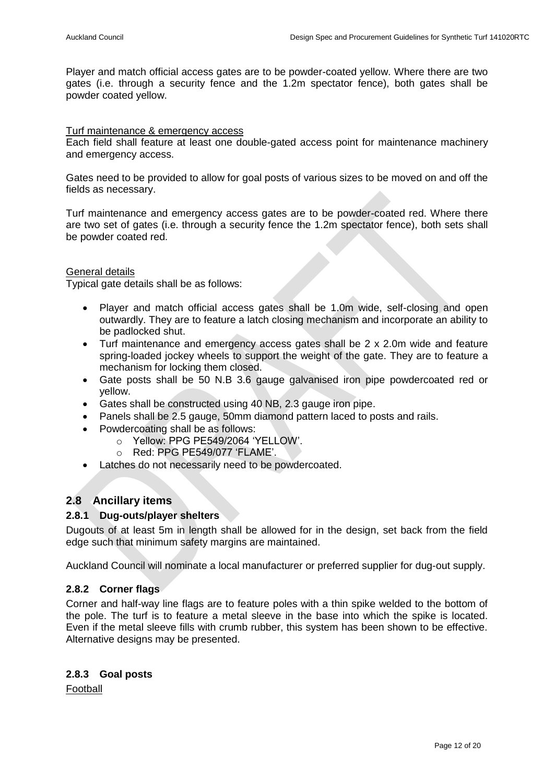Player and match official access gates are to be powder-coated yellow. Where there are two gates (i.e. through a security fence and the 1.2m spectator fence), both gates shall be powder coated yellow.

#### Turf maintenance & emergency access

Each field shall feature at least one double-gated access point for maintenance machinery and emergency access.

Gates need to be provided to allow for goal posts of various sizes to be moved on and off the fields as necessary.

Turf maintenance and emergency access gates are to be powder-coated red. Where there are two set of gates (i.e. through a security fence the 1.2m spectator fence), both sets shall be powder coated red.

#### General details

Typical gate details shall be as follows:

- Player and match official access gates shall be 1.0m wide, self-closing and open outwardly. They are to feature a latch closing mechanism and incorporate an ability to be padlocked shut.
- Turf maintenance and emergency access gates shall be 2 x 2.0m wide and feature spring-loaded jockey wheels to support the weight of the gate. They are to feature a mechanism for locking them closed.
- Gate posts shall be 50 N.B 3.6 gauge galvanised iron pipe powdercoated red or yellow.
- Gates shall be constructed using 40 NB, 2.3 gauge iron pipe.
- Panels shall be 2.5 gauge, 50mm diamond pattern laced to posts and rails.
- Powdercoating shall be as follows:
	- o Yellow: PPG PE549/2064 'YELLOW'.
	- o Red: PPG PE549/077 'FLAME'.
- Latches do not necessarily need to be powdercoated.

#### <span id="page-11-0"></span>**2.8 Ancillary items**

#### <span id="page-11-1"></span>**2.8.1 Dug-outs/player shelters**

Dugouts of at least 5m in length shall be allowed for in the design, set back from the field edge such that minimum safety margins are maintained.

Auckland Council will nominate a local manufacturer or preferred supplier for dug-out supply.

#### <span id="page-11-2"></span>**2.8.2 Corner flags**

Corner and half-way line flags are to feature poles with a thin spike welded to the bottom of the pole. The turf is to feature a metal sleeve in the base into which the spike is located. Even if the metal sleeve fills with crumb rubber, this system has been shown to be effective. Alternative designs may be presented.

#### <span id="page-11-3"></span>**2.8.3 Goal posts**

Football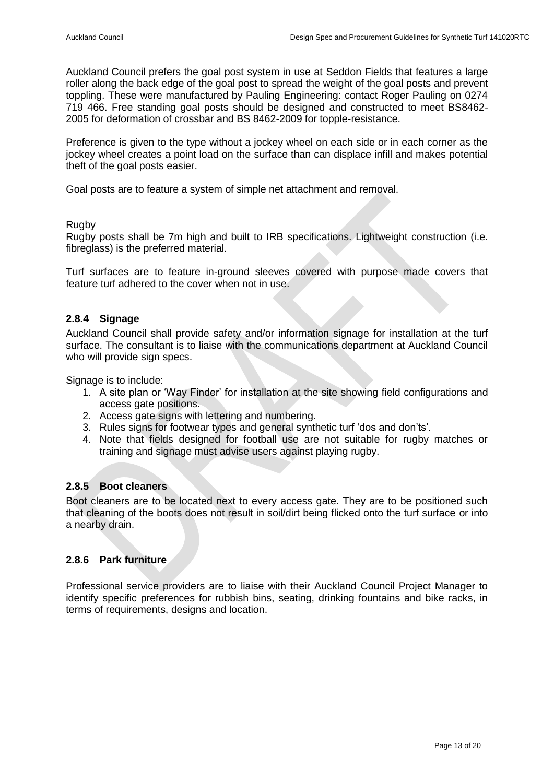Auckland Council prefers the goal post system in use at Seddon Fields that features a large roller along the back edge of the goal post to spread the weight of the goal posts and prevent toppling. These were manufactured by Pauling Engineering: contact Roger Pauling on 0274 719 466. Free standing goal posts should be designed and constructed to meet BS8462- 2005 for deformation of crossbar and BS 8462-2009 for topple-resistance.

Preference is given to the type without a jockey wheel on each side or in each corner as the jockey wheel creates a point load on the surface than can displace infill and makes potential theft of the goal posts easier.

Goal posts are to feature a system of simple net attachment and removal.

#### **Rugby**

Rugby posts shall be 7m high and built to IRB specifications. Lightweight construction (i.e. fibreglass) is the preferred material.

Turf surfaces are to feature in-ground sleeves covered with purpose made covers that feature turf adhered to the cover when not in use.

#### <span id="page-12-0"></span>**2.8.4 Signage**

Auckland Council shall provide safety and/or information signage for installation at the turf surface. The consultant is to liaise with the communications department at Auckland Council who will provide sign specs.

Signage is to include:

- 1. A site plan or 'Way Finder' for installation at the site showing field configurations and access gate positions.
- 2. Access gate signs with lettering and numbering.
- 3. Rules signs for footwear types and general synthetic turf 'dos and don'ts'.
- 4. Note that fields designed for football use are not suitable for rugby matches or training and signage must advise users against playing rugby.

#### <span id="page-12-1"></span>**2.8.5 Boot cleaners**

Boot cleaners are to be located next to every access gate. They are to be positioned such that cleaning of the boots does not result in soil/dirt being flicked onto the turf surface or into a nearby drain.

#### <span id="page-12-2"></span>**2.8.6 Park furniture**

Professional service providers are to liaise with their Auckland Council Project Manager to identify specific preferences for rubbish bins, seating, drinking fountains and bike racks, in terms of requirements, designs and location.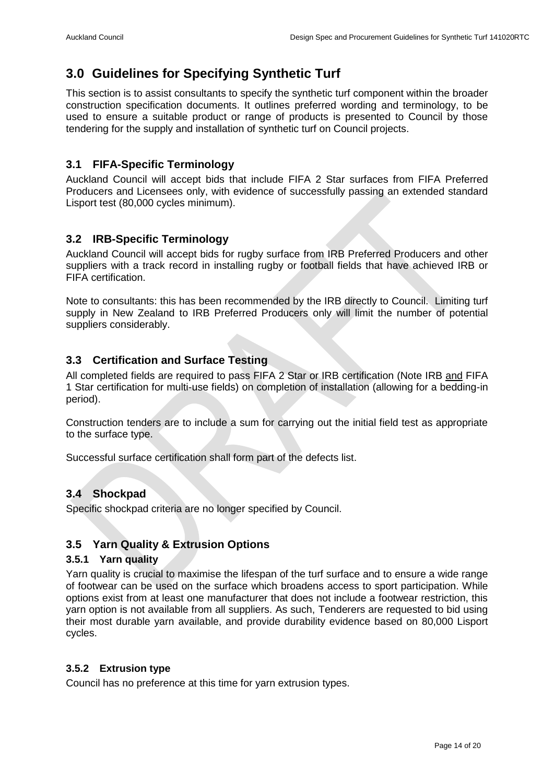### <span id="page-13-0"></span>**3.0 Guidelines for Specifying Synthetic Turf**

This section is to assist consultants to specify the synthetic turf component within the broader construction specification documents. It outlines preferred wording and terminology, to be used to ensure a suitable product or range of products is presented to Council by those tendering for the supply and installation of synthetic turf on Council projects.

#### <span id="page-13-1"></span>**3.1 FIFA-Specific Terminology**

Auckland Council will accept bids that include FIFA 2 Star surfaces from FIFA Preferred Producers and Licensees only, with evidence of successfully passing an extended standard Lisport test (80,000 cycles minimum).

#### <span id="page-13-2"></span>**3.2 IRB-Specific Terminology**

Auckland Council will accept bids for rugby surface from IRB Preferred Producers and other suppliers with a track record in installing rugby or football fields that have achieved IRB or FIFA certification.

Note to consultants: this has been recommended by the IRB directly to Council. Limiting turf supply in New Zealand to IRB Preferred Producers only will limit the number of potential suppliers considerably.

#### <span id="page-13-3"></span>**3.3 Certification and Surface Testing**

All completed fields are required to pass FIFA 2 Star or IRB certification (Note IRB and FIFA 1 Star certification for multi-use fields) on completion of installation (allowing for a bedding-in period).

Construction tenders are to include a sum for carrying out the initial field test as appropriate to the surface type.

Successful surface certification shall form part of the defects list.

#### <span id="page-13-4"></span>**3.4 Shockpad**

Specific shockpad criteria are no longer specified by Council.

#### <span id="page-13-5"></span>**3.5 Yarn Quality & Extrusion Options**

#### <span id="page-13-6"></span>**3.5.1 Yarn quality**

Yarn quality is crucial to maximise the lifespan of the turf surface and to ensure a wide range of footwear can be used on the surface which broadens access to sport participation. While options exist from at least one manufacturer that does not include a footwear restriction, this yarn option is not available from all suppliers. As such, Tenderers are requested to bid using their most durable yarn available, and provide durability evidence based on 80,000 Lisport cycles.

#### <span id="page-13-7"></span>**3.5.2 Extrusion type**

Council has no preference at this time for yarn extrusion types.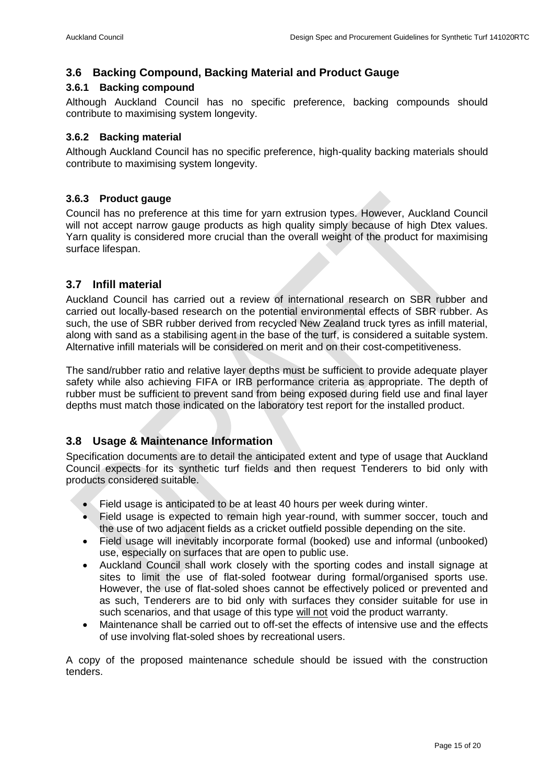#### <span id="page-14-0"></span>**3.6 Backing Compound, Backing Material and Product Gauge**

#### <span id="page-14-1"></span>**3.6.1 Backing compound**

Although Auckland Council has no specific preference, backing compounds should contribute to maximising system longevity.

#### <span id="page-14-2"></span>**3.6.2 Backing material**

Although Auckland Council has no specific preference, high-quality backing materials should contribute to maximising system longevity.

#### <span id="page-14-3"></span>**3.6.3 Product gauge**

Council has no preference at this time for yarn extrusion types. However, Auckland Council will not accept narrow gauge products as high quality simply because of high Dtex values. Yarn quality is considered more crucial than the overall weight of the product for maximising surface lifespan.

#### <span id="page-14-4"></span>**3.7 Infill material**

Auckland Council has carried out a review of international research on SBR rubber and carried out locally-based research on the potential environmental effects of SBR rubber. As such, the use of SBR rubber derived from recycled New Zealand truck tyres as infill material, along with sand as a stabilising agent in the base of the turf, is considered a suitable system. Alternative infill materials will be considered on merit and on their cost-competitiveness.

The sand/rubber ratio and relative layer depths must be sufficient to provide adequate player safety while also achieving FIFA or IRB performance criteria as appropriate. The depth of rubber must be sufficient to prevent sand from being exposed during field use and final layer depths must match those indicated on the laboratory test report for the installed product.

#### <span id="page-14-5"></span>**3.8 Usage & Maintenance Information**

Specification documents are to detail the anticipated extent and type of usage that Auckland Council expects for its synthetic turf fields and then request Tenderers to bid only with products considered suitable.

- Field usage is anticipated to be at least 40 hours per week during winter.
- Field usage is expected to remain high year-round, with summer soccer, touch and the use of two adjacent fields as a cricket outfield possible depending on the site.
- Field usage will inevitably incorporate formal (booked) use and informal (unbooked) use, especially on surfaces that are open to public use.
- Auckland Council shall work closely with the sporting codes and install signage at sites to limit the use of flat-soled footwear during formal/organised sports use. However, the use of flat-soled shoes cannot be effectively policed or prevented and as such, Tenderers are to bid only with surfaces they consider suitable for use in such scenarios, and that usage of this type will not void the product warranty.
- Maintenance shall be carried out to off-set the effects of intensive use and the effects of use involving flat-soled shoes by recreational users.

A copy of the proposed maintenance schedule should be issued with the construction tenders.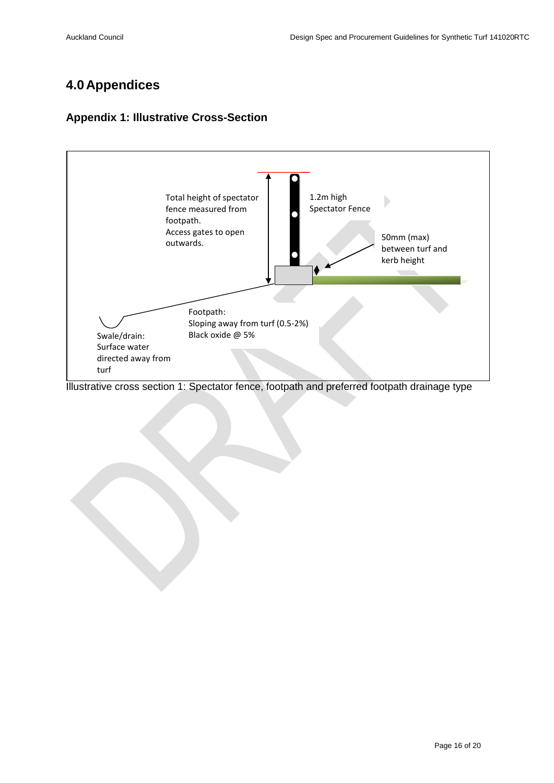## <span id="page-15-0"></span>**4.0 Appendices**

#### <span id="page-15-1"></span>**Appendix 1: Illustrative Cross-Section**



Illustrative cross section 1: Spectator fence, footpath and preferred footpath drainage type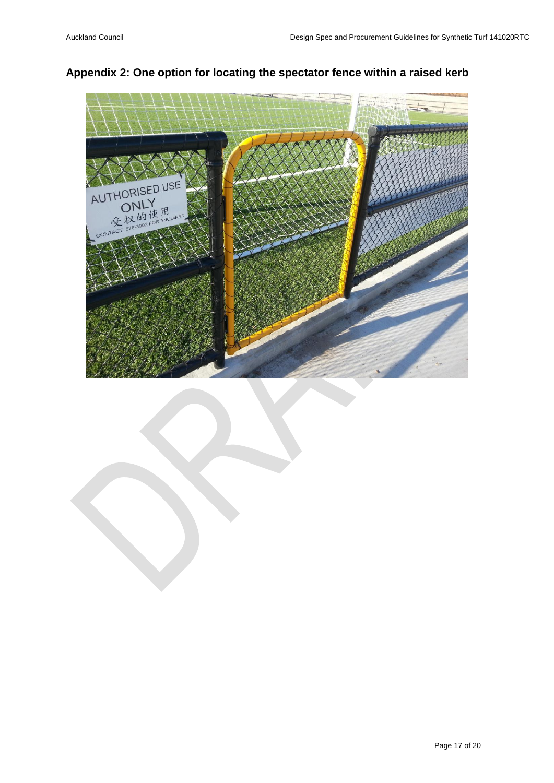

#### <span id="page-16-0"></span>**Appendix 2: One option for locating the spectator fence within a raised kerb**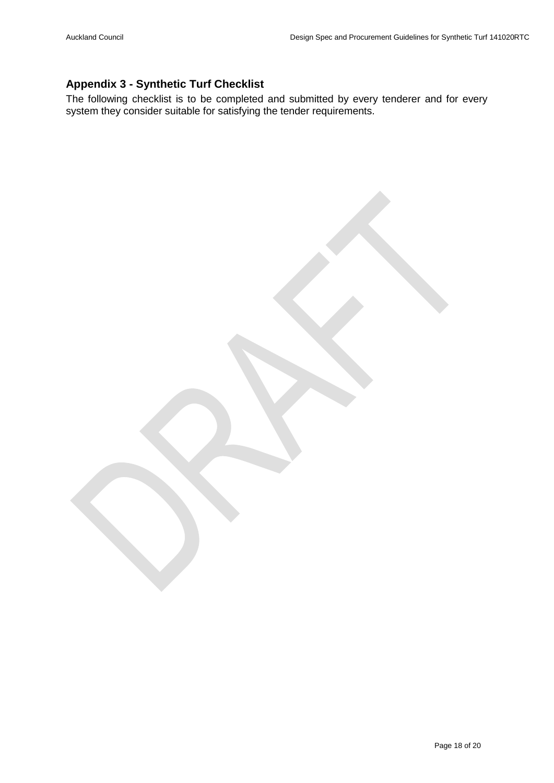#### <span id="page-17-0"></span>**Appendix 3 - Synthetic Turf Checklist**

The following checklist is to be completed and submitted by every tenderer and for every system they consider suitable for satisfying the tender requirements.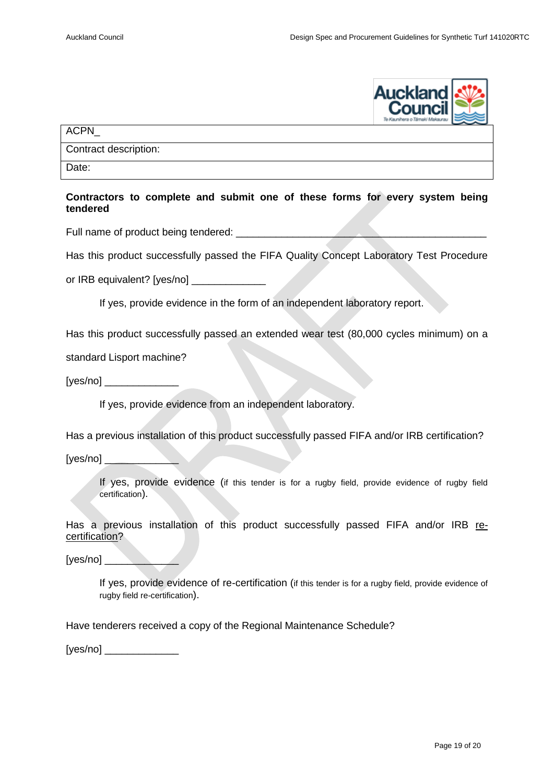

ACPN\_

Contract description:

Date:

#### **Contractors to complete and submit one of these forms for every system being tendered**

Full name of product being tendered: \_\_\_\_\_\_\_\_\_\_\_\_\_\_\_\_\_\_\_\_\_\_\_\_\_\_\_\_\_\_\_\_\_\_\_\_\_\_\_\_\_\_\_\_

Has this product successfully passed the FIFA Quality Concept Laboratory Test Procedure

or IRB equivalent? [yes/no] \_\_\_\_\_\_\_\_\_\_\_\_\_\_\_

If yes, provide evidence in the form of an independent laboratory report.

Has this product successfully passed an extended wear test (80,000 cycles minimum) on a

standard Lisport machine?

[yes/no] \_\_\_\_\_\_\_\_\_\_\_\_\_

If yes, provide evidence from an independent laboratory.

Has a previous installation of this product successfully passed FIFA and/or IRB certification?

[yes/no]

If yes, provide evidence (if this tender is for a rugby field, provide evidence of rugby field certification).

Has a previous installation of this product successfully passed FIFA and/or IRB recertification?

 $[yes/no]$ 

If yes, provide evidence of re-certification (if this tender is for a rugby field, provide evidence of rugby field re-certification).

Have tenderers received a copy of the Regional Maintenance Schedule?

[yes/no] \_\_\_\_\_\_\_\_\_\_\_\_\_